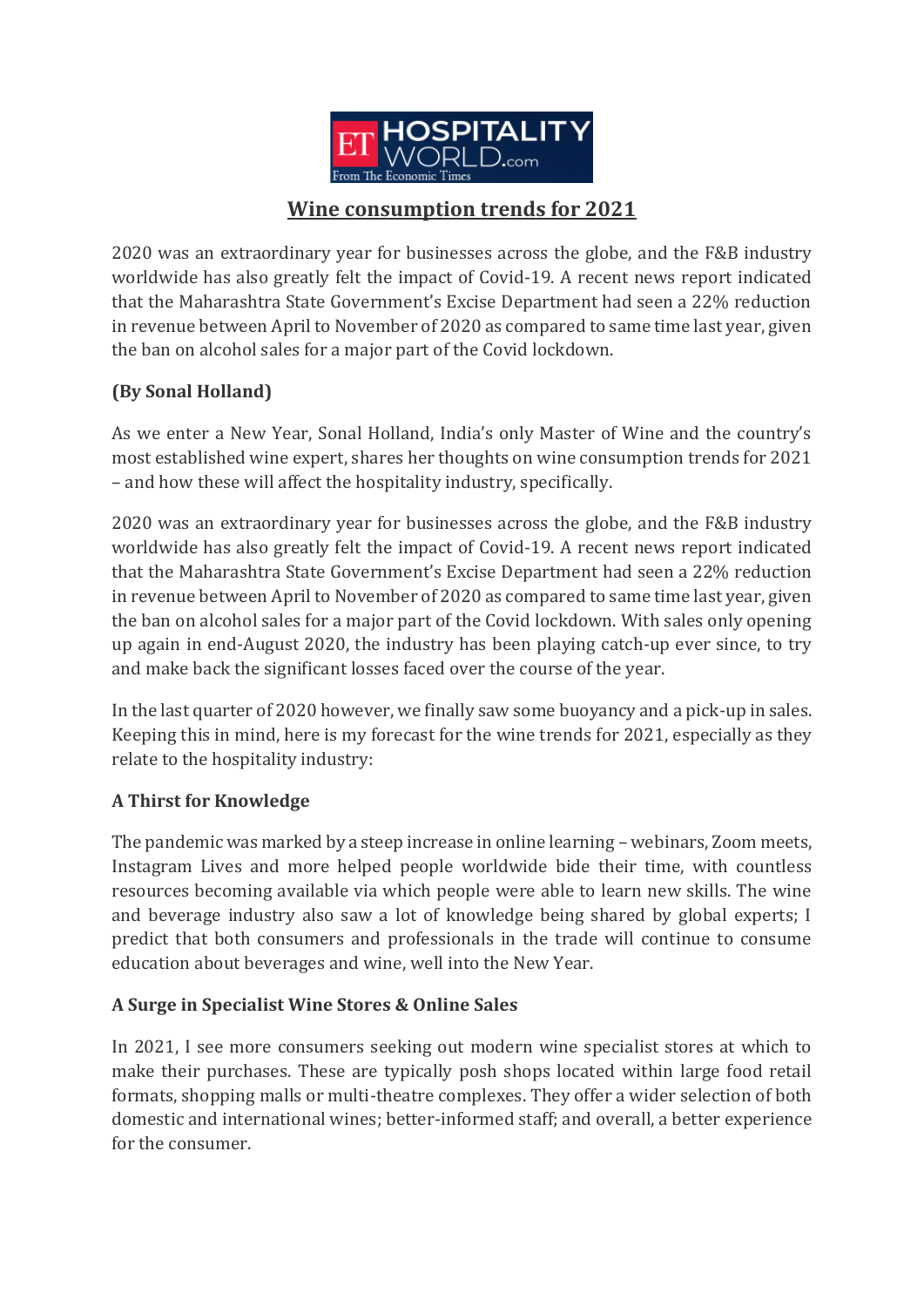

# **Wine consumption trends for 2021**

2020 was an extraordinary year for businesses across the globe, and the F&B industry worldwide has also greatly felt the impact of Covid-19. A recent news report indicated that the Maharashtra State Government's Excise Department had seen a 22% reduction in revenue between April to November of 2020 as compared to same time last year, given the ban on alcohol sales for a major part of the Covid lockdown.

## **(By Sonal Holland)**

As we enter a New Year, Sonal Holland, India's only Master of Wine and the country's most established wine expert, shares her thoughts on wine consumption trends for 2021 – and how these will affect the hospitality industry, specifically.

2020 was an extraordinary year for businesses across the globe, and the F&B industry worldwide has also greatly felt the impact of Covid-19. A recent news report indicated that the Maharashtra State Government's Excise Department had seen a 22% reduction in revenue between April to November of 2020 as compared to same time last year, given the ban on alcohol sales for a major part of the Covid lockdown. With sales only opening up again in end-August 2020, the industry has been playing catch-up ever since, to try and make back the significant losses faced over the course of the year.

In the last quarter of 2020 however, we finally saw some buoyancy and a pick-up in sales. Keeping this in mind, here is my forecast for the wine trends for 2021, especially as they relate to the hospitality industry:

## **A Thirst for Knowledge**

The pandemic was marked by a steep increase in online learning – webinars, Zoom meets, Instagram Lives and more helped people worldwide bide their time, with countless resources becoming available via which people were able to learn new skills. The wine and beverage industry also saw a lot of knowledge being shared by global experts; I predict that both consumers and professionals in the trade will continue to consume education about beverages and wine, well into the New Year.

## **A Surge in Specialist Wine Stores & Online Sales**

In 2021, I see more consumers seeking out modern wine specialist stores at which to make their purchases. These are typically posh shops located within large food retail formats, shopping malls or multi-theatre complexes. They offer a wider selection of both domestic and international wines; better-informed staff; and overall, a better experience for the consumer.